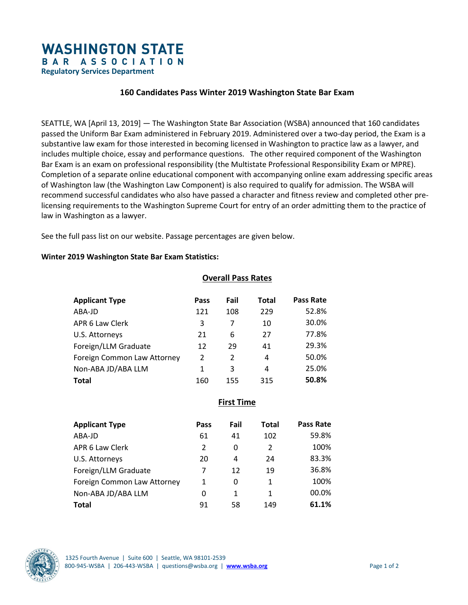# **WASHINGTON STATE** BAR ASSOCIATION

**Regulatory Services Department** 

## **160 Candidates Pass Winter 2019 Washington State Bar Exam**

SEATTLE, WA [April 13, 2019] — The Washington State Bar Association (WSBA) announced that 160 candidates passed the Uniform Bar Exam administered in February 2019. Administered over a two-day period, the Exam is a substantive law exam for those interested in becoming licensed in Washington to practice law as a lawyer, and includes multiple choice, essay and performance questions. The other required component of the Washington Bar Exam is an exam on professional responsibility (the Multistate Professional Responsibility Exam or MPRE). Completion of a separate online educational component with accompanying online exam addressing specific areas of Washington law (the Washington Law Component) is also required to qualify for admission. The WSBA will recommend successful candidates who also have passed a character and fitness review and completed other prelicensing requirements to the Washington Supreme Court for entry of an order admitting them to the practice of law in Washington as a lawyer.

See the full pass list on our website. Passage percentages are given below.

#### **Winter 2019 Washington State Bar Exam Statistics:**

#### **Overall Pass Rates**

| <b>Applicant Type</b>       | Pass | Fail           | Total | <b>Pass Rate</b> |
|-----------------------------|------|----------------|-------|------------------|
| ABA-JD                      | 121  | 108            | 229   | 52.8%            |
| APR 6 Law Clerk             | 3    | 7              | 10    | 30.0%            |
| U.S. Attorneys              | 21   | 6              | 27    | 77.8%            |
| Foreign/LLM Graduate        | 12   | 29             | 41    | 29.3%            |
| Foreign Common Law Attorney | 2    | $\overline{2}$ | 4     | 50.0%            |
| Non-ABA JD/ABA LLM          | 1    | 3              | 4     | 25.0%            |
| Total                       | 160  | 155            | 315   | 50.8%            |

**First Time** 

| <b>Applicant Type</b>       | Pass | Fail | <b>Total</b> | Pass Rate |
|-----------------------------|------|------|--------------|-----------|
| ABA-JD                      | 61   | 41   | 102          | 59.8%     |
| APR 6 Law Clerk             | 2    | 0    | 2            | 100%      |
| U.S. Attorneys              | 20   | 4    | 24           | 83.3%     |
| Foreign/LLM Graduate        | 7    | 12   | 19           | 36.8%     |
| Foreign Common Law Attorney | 1    | 0    | 1            | 100%      |
| Non-ABA JD/ABA LLM          | 0    | 1    | 1            | 00.0%     |
| <b>Total</b>                | 91   | 58   | 149          | 61.1%     |